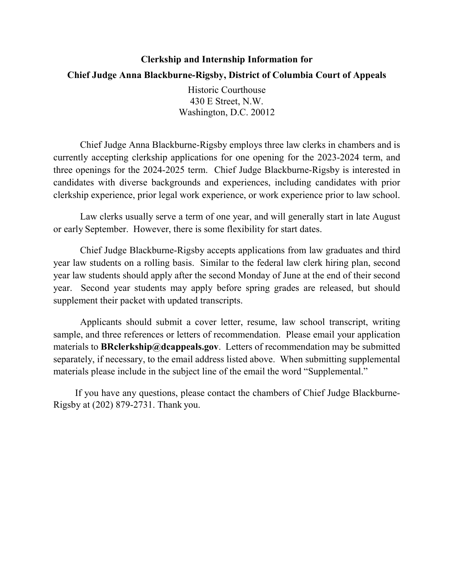## **Clerkship and Internship Information for Chief Judge Anna Blackburne-Rigsby, District of Columbia Court of Appeals**

Historic Courthouse 430 E Street, N.W. Washington, D.C. 20012

Chief Judge Anna Blackburne-Rigsby employs three law clerks in chambers and is currently accepting clerkship applications for one opening for the 2023-2024 term, and three openings for the 2024-2025 term. Chief Judge Blackburne-Rigsby is interested in candidates with diverse backgrounds and experiences, including candidates with prior clerkship experience, prior legal work experience, or work experience prior to law school.

Law clerks usually serve a term of one year, and will generally start in late August or early September. However, there is some flexibility for start dates.

Chief Judge Blackburne-Rigsby accepts applications from law graduates and third year law students on a rolling basis. Similar to the federal law clerk hiring plan, second year law students should apply after the second Monday of June at the end of their second year. Second year students may apply before spring grades are released, but should supplement their packet with updated transcripts.

Applicants should submit a cover letter, resume, law school transcript, writing sample, and three references or letters of recommendation. Please email your application materials to **BRclerkship@dcappeals.gov**. Letters of recommendation may be submitted separately, if necessary, to the email address listed above. When submitting supplemental materials please include in the subject line of the email the word "Supplemental."

If you have any questions, please contact the chambers of Chief Judge Blackburne-Rigsby at (202) 879-2731. Thank you.